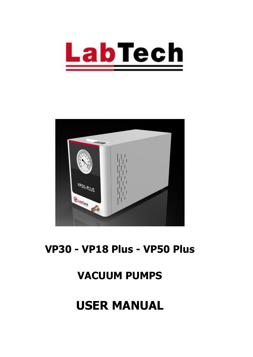# **USER MANUAL**

## **VACUUM PUMPS**

## **VP30 - VP18 Plus - VP50 Plus**



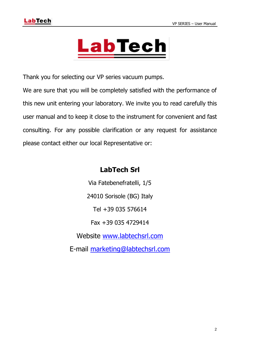

Thank you for selecting our VP series vacuum pumps.

We are sure that you will be completely satisfied with the performance of this new unit entering your laboratory. We invite you to read carefully this user manual and to keep it close to the instrument for convenient and fast consulting. For any possible clarification or any request for assistance please contact either our local Representative or:

## **LabTech Srl**

Via Fatebenefratelli, 1/5 24010 Sorisole (BG) Italy Tel +39 035 576614 Fax +39 035 4729414 Website [www.labtechsrl.com](http://www.labtechsrl.com/) E-mail [marketing@labtechsrl.com](mailto:marketing@labtechsrl.com)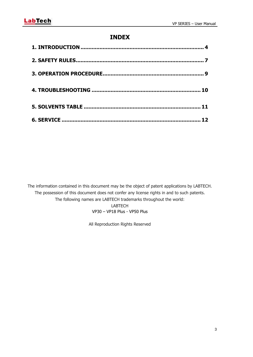### **INDEX**

The information contained in this document may be the object of patent applications by LABTECH. The possession of this document does not confer any license rights in and to such patents. The following names are LABTECH trademarks throughout the world: LABTECH VP30 – VP18 Plus - VP50 Plus

All Reproduction Rights Reserved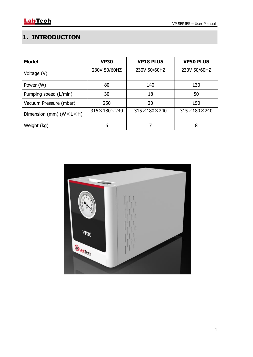## **1. INTRODUCTION**

| Model                                  | <b>VP30</b>             | <b>VP18 PLUS</b>        | <b>VP50 PLUS</b>        |
|----------------------------------------|-------------------------|-------------------------|-------------------------|
| Voltage (V)                            | 230V 50/60HZ            | 230V 50/60HZ            | 230V 50/60HZ            |
| Power (W)                              | 80                      | 140                     | 130                     |
| Pumping speed (L/min)                  | 30                      | 18                      | 50                      |
| Vacuum Pressure (mbar)                 | 250                     | 20                      | 150                     |
| Dimension (mm) $(W \times L \times H)$ | $315\times180\times240$ | $315\times180\times240$ | $315\times180\times240$ |
| Weight (kg)                            | 6                       |                         | 8                       |

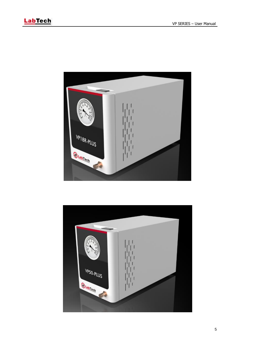

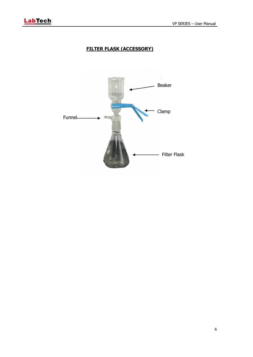#### **FILTER FLASK (ACCESSORY)**

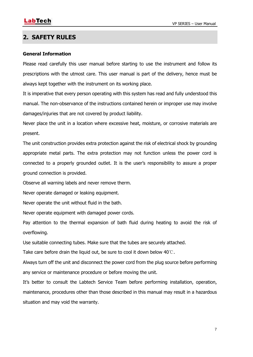#### <span id="page-6-0"></span>**2. SAFETY RULES**

#### **General Information**

Please read carefully this user manual before starting to use the instrument and follow its prescriptions with the utmost care. This user manual is part of the delivery, hence must be always kept together with the instrument on its working place.

It is imperative that every person operating with this system has read and fully understood this manual. The non-observance of the instructions contained herein or improper use may involve damages/injuries that are not covered by product liability.

Never place the unit in a location where excessive heat, moisture, or corrosive materials are present.

The unit construction provides extra protection against the risk of electrical shock by grounding appropriate metal parts. The extra protection may not function unless the power cord is connected to a properly grounded outlet. It is the user's responsibility to assure a proper ground connection is provided.

Observe all warning labels and never remove therm.

Never operate damaged or leaking equipment.

Never operate the unit without fluid in the bath.

Never operate equipment with damaged power cords.

Pay attention to the thermal expansion of bath fluid during heating to avoid the risk of overflowing.

Use suitable connecting tubes. Make sure that the tubes are securely attached.

Take care before drain the liquid out, be sure to cool it down below 40℃.

Always turn off the unit and disconnect the power cord from the plug source before performing any service or maintenance procedure or before moving the unit.

It's better to consult the Labtech Service Team before performing installation, operation, maintenance, procedures other than those described in this manual may result in a hazardous situation and may void the warranty.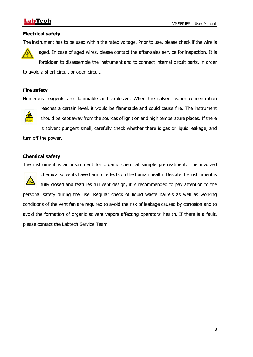### abTech.

#### **Electrical safety**

The instrument has to be used within the rated voltage. Prior to use, please check if the wire is



aged. In case of aged wires, please contact the after-sales service for inspection. It is forbidden to disassemble the instrument and to connect internal circuit parts, in order

to avoid a short circuit or open circuit.

#### **Fire safety**

Numerous reagents are flammable and explosive. When the solvent vapor concentration



reaches a certain level, it would be flammable and could cause fire. The instrument should be kept away from the sources of ignition and high temperature places. If there is solvent pungent smell, carefully check whether there is gas or liquid leakage, and

turn off the power.

#### **Chemical safety**

The instrument is an instrument for organic chemical sample pretreatment. The involved

chemical solvents have harmful effects on the human health. Despite the instrument is fully closed and features full vent design, it is recommended to pay attention to the personal safety during the use. Regular check of liquid waste barrels as well as working conditions of the vent fan are required to avoid the risk of leakage caused by corrosion and to avoid the formation of organic solvent vapors affecting operators' health. If there is a fault, please contact the Labtech Service Team.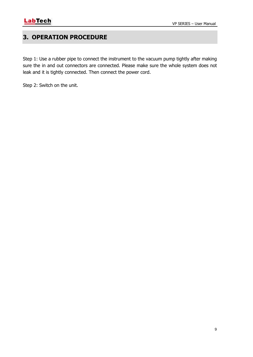## **3. OPERATION PROCEDURE**

Step 1: Use a rubber pipe to connect the instrument to the vacuum pump tightly after making sure the in and out connectors are connected. Please make sure the whole system does not leak and it is tightly connected. Then connect the power cord.

Step 2: Switch on the unit.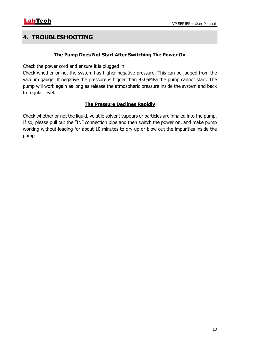## **4. TROUBLESHOOTING**

#### **The Pump Does Not Start After Switching The Power On**

Check the power cord and ensure it is plugged in.

Check whether or not the system has higher negative pressure. This can be judged from the vacuum gauge. If negative the pressure is bigger than -0.05MPa the pump cannot start. The pump will work again as long as release the atmospheric pressure inside the system and back to regular level.

#### **The Pressure Declines Rapidly**

Check whether or not the liquid, volatile solvent vapours or particles are inhaled into the pump. If so, please pull out the "IN" connection pipe and then switch the power on, and make pump working without loading for about 10 minutes to dry up or blow out the impurities inside the pump.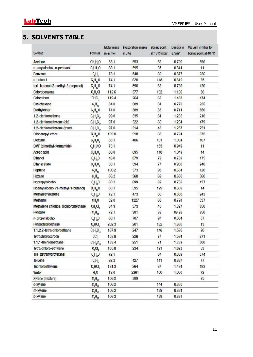## **5. SOLVENTS TABLE**

| Solvent                             | Formula                                       | Molar mass<br>in $g/mol$ | <b>Evaporation energy</b><br>in J/g | <b>Boiling point</b><br>at 1013 mbar | <b>Density</b> in<br>g/cm <sup>2</sup> | Vacuum in mbar for<br>boiling point at 40 °C |
|-------------------------------------|-----------------------------------------------|--------------------------|-------------------------------------|--------------------------------------|----------------------------------------|----------------------------------------------|
| Acetone                             | CH <sub>2</sub> H <sub>2</sub> O              | 58.1                     | 553                                 | 56                                   | 0.790                                  | 556                                          |
| n-amylaicohol, n-pentanol           | C <sub>s</sub> H1 <sub>s</sub> O              | 88.1                     | 595                                 | 37                                   | 0.814                                  | 11                                           |
| Benzene                             | $C_{\rm g}H_{\rm g}$                          | 78.1                     | 548                                 | 80                                   | 0.877                                  | 236                                          |
| n-butanol                           | $C_{\rm A}H_{10}O$                            | 74.1                     | 620                                 | 118                                  | 0.810                                  | 25                                           |
| tert. butanol (2-methyl-2-propanol) | $C_{\rm e}H_{10}O$                            | 74.1                     | 590                                 | 82                                   | 0.789                                  | 130                                          |
| Chlorobenzene                       | C <sub>H</sub> CI                             | 112.6                    | 377                                 | 132                                  | 1.106                                  | 36                                           |
| Chloroform                          | CHCL <sub>2</sub>                             | 119.4                    | 264                                 | 62                                   | 1.483                                  | 474                                          |
| Cyclohexane                         | $C_eH_{12}$                                   | 84.0                     | 389                                 | 81                                   | 0.779                                  | 235                                          |
| Diethylether                        | $C_{\rm A}H_{10}O$                            | 74.0                     | 389                                 | 35                                   | 0.714                                  | 850                                          |
| 1,2-dichloroethane                  | C <sub>2</sub> H <sub>4</sub> Cl <sub>2</sub> | 99.0                     | 335                                 | 84                                   | 1.235                                  | 210                                          |
| 1,2-dichloroethylene (cis)          | $C_2H_2Cl_2$                                  | 97.0                     | 322                                 | 60                                   | 1.284                                  | 479                                          |
| 1,2-dichloroethylene (trans)        | C,H,Cl,                                       | 97.0                     | 314                                 | 48                                   | 1.257                                  | 751                                          |
| Diisopropyl ether                   | $C_{e}H_{14}O$                                | 102.0                    | 318                                 | 68                                   | 0.724                                  | 375                                          |
| Dioxane                             | $C_H$ <sub>s</sub> O <sub>2</sub>             | 88.1                     | 406                                 | 101                                  | 1.034                                  | 107                                          |
| DMF (dimethyl-formamide)            | C <sub>2</sub> H <sub>,</sub> NO              | 73.1                     |                                     | 153                                  | 0.949                                  | 11                                           |
| Acetic acid                         | $CxHxOy$                                      | 60.0                     | 695                                 | 118                                  | 1.049                                  | 44                                           |
| Ethanol                             | $C.H_0$                                       | 46.0                     | 879                                 | 79                                   | 0.789                                  | 175                                          |
| Ethylacetate                        | $C_{4}H_{6}O_{2}$                             | 88.1                     | 394                                 | 77                                   | 0.900                                  | 240                                          |
| Heptane                             | $C_{\gamma}H_{16}$                            | 100.2                    | 373                                 | 98                                   | 0.684                                  | 120                                          |
| Hexane                              | $C_{\rm g}H_{14}$                             | 86.2                     | 368                                 | 69                                   | 0.660                                  | 360                                          |
| Isopropylalcohol                    | C, H, O                                       | 60.1                     | 699                                 | 82                                   | 0.786                                  | 137                                          |
| Isoamylaicohol (3-methyl-1-butanol) | $C_{s}H_{12}O$                                | 88.1                     | 595                                 | 129                                  | 0.809                                  | 14                                           |
| Methylethylketone                   | C.H <sub>s</sub> O                            | 72.1                     | 473                                 | 80                                   | 0.805                                  | 243                                          |
| Methanol                            | CH <sub>2</sub> O                             | 32.0                     | 1227                                | 65                                   | 0.791                                  | 337                                          |
| Methylene chloride, dichloromethane | CH <sub>2</sub> Cl <sub>2</sub>               | 84.9                     | 373                                 | 40                                   | 1.327                                  | 850                                          |
| Pentane                             | $C_sH_{12}$                                   | 72.1                     | 381                                 | 36                                   | 06.26                                  | 850                                          |
| n-propylalcohol                     | C.H.O                                         | 60.1                     | 787                                 | 97                                   | 0.804                                  | 67                                           |
| Pentachloroethane                   | C,HCI                                         | 202.3                    | 201                                 | 162                                  | 1.680                                  | 13                                           |
| 1,1,2,2-tetra-chloroethane          | C,H,Cl,                                       | 167.9                    | 247                                 | 146                                  | 1.595                                  | 20                                           |
| Tetrachlorocarbon                   | CCI <sub>4</sub>                              | 153.8                    | 226                                 | 77                                   | 1.594                                  | 271                                          |
| 1,1,1-trichloroethane               | $C_2H_3Cl_3$                                  | 133.4                    | 251                                 | 74                                   | 1.339                                  | 300                                          |
| Tetra-chloro-ethylene               | $C_2Cl_4$                                     | 165.8                    | 234                                 | 121                                  | 1.623                                  | 53                                           |
| THF (tetrahydrofurane)              | C.H <sub>2</sub> O                            | 72.1                     |                                     | 67                                   | 0.889                                  | 374                                          |
| <b>Toluene</b>                      | $C_{\gamma}H_{\rm s}$                         | 92.2                     | 427                                 | 111                                  | 0.867                                  | 77                                           |
| Trichloroethylene                   | C_HCI.                                        | 131.3                    | 264                                 | 87                                   | 1.464                                  | 183                                          |
| Water                               | H <sub>2</sub> 0                              | 18.0                     | 2261                                | 100                                  | 1.000                                  | 72                                           |
| Xylene (mixture)                    | $C_gH_{10}$                                   | 106.2                    | 389                                 |                                      |                                        | 25                                           |
| o-xylene                            | $C_{8}H_{10}$                                 | 106.2                    |                                     | 144                                  | 0.880                                  |                                              |
| m-xylene                            | $C_aH_{10}$                                   | 106.2                    |                                     | 139                                  | 0.864                                  |                                              |
| p-xylene                            | $C_{\rm a}H_{\rm 10}$                         | 106.2                    |                                     | 138                                  | 0.861                                  |                                              |